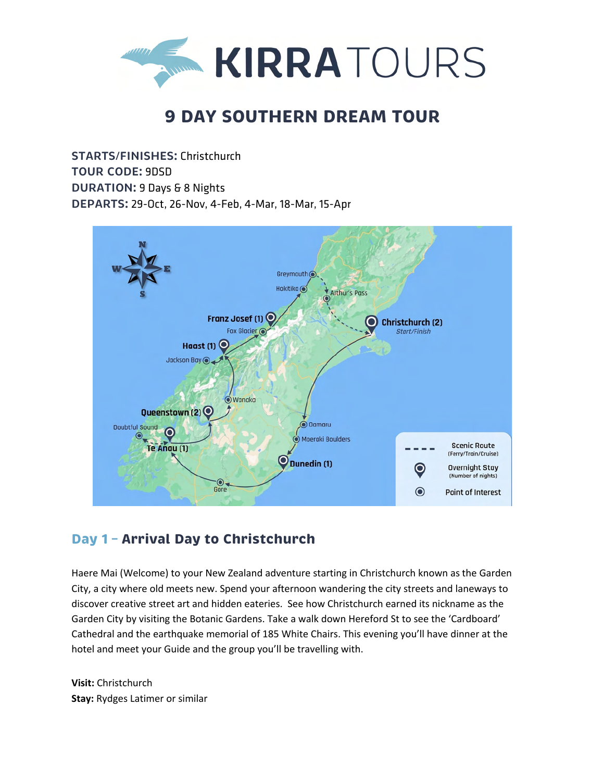

# **9 DAY SOUTHERN DREAM TOUR**

**STARTS/FINISHES:** Christchurch **TOUR CODE:** 9DSD **DURATION:** 9 Days & 8 Nights **DEPARTS:** 29-Oct, 26-Nov, 4-Feb, 4-Mar, 18-Mar, 15-Apr



## **Day 1 – Arrival Day to Christchurch**

Haere Mai (Welcome) to your New Zealand adventure starting in Christchurch known as the Garden City, a city where old meets new. Spend your afternoon wandering the city streets and laneways to discover creative street art and hidden eateries. See how Christchurch earned its nickname as the Garden City by visiting the Botanic Gardens. Take a walk down Hereford St to see the 'Cardboard' Cathedral and the earthquake memorial of 185 White Chairs. This evening you'll have dinner at the hotel and meet your Guide and the group you'll be travelling with.

**Visit:** Christchurch **Stay:** Rydges Latimer or similar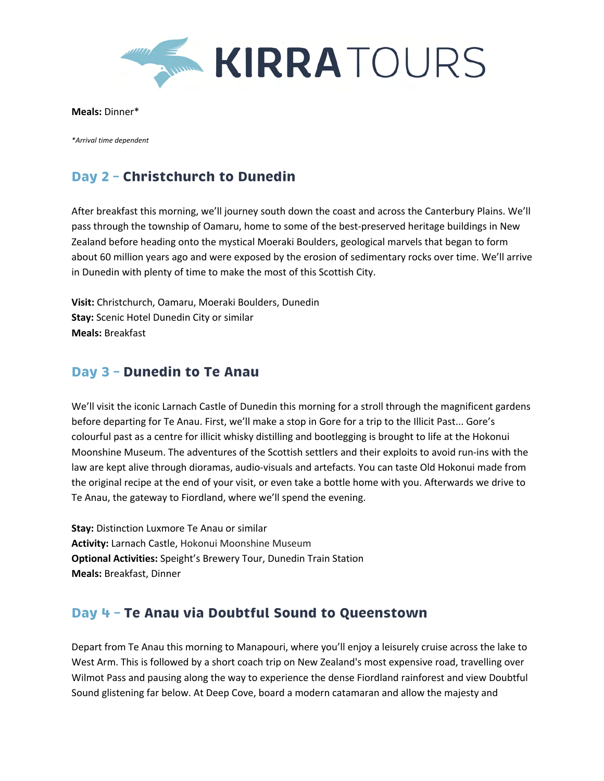

**Meals:** Dinner\*

*\*Arrival time dependent*

# **Day 2 – Christchurch to Dunedin**

After breakfast this morning, we'll journey south down the coast and across the Canterbury Plains. We'll pass through the township of Oamaru, home to some of the best-preserved heritage buildings in New Zealand before heading onto the mystical Moeraki Boulders, geological marvels that began to form about 60 million years ago and were exposed by the erosion of sedimentary rocks over time. We'll arrive in Dunedin with plenty of time to make the most of this Scottish City.

**Visit:** Christchurch, Oamaru, Moeraki Boulders, Dunedin **Stay:** Scenic Hotel Dunedin City or similar **Meals:** Breakfast

#### **Day 3 – Dunedin to Te Anau**

We'll visit the iconic Larnach Castle of Dunedin this morning for a stroll through the magnificent gardens before departing for Te Anau. First, we'll make a stop in Gore for a trip to the Illicit Past... Gore's colourful past as a centre for illicit whisky distilling and bootlegging is brought to life at the Hokonui Moonshine Museum. The adventures of the Scottish settlers and their exploits to avoid run-ins with the law are kept alive through dioramas, audio-visuals and artefacts. You can taste Old Hokonui made from the original recipe at the end of your visit, or even take a bottle home with you. Afterwards we drive to Te Anau, the gateway to Fiordland, where we'll spend the evening.

**Stay:** Distinction Luxmore Te Anau or similar **Activity:** Larnach Castle, Hokonui Moonshine Museum **Optional Activities:** Speight's Brewery Tour, Dunedin Train Station **Meals:** Breakfast, Dinner

## **Day 4 – Te Anau via Doubtful Sound to Queenstown**

Depart from Te Anau this morning to Manapouri, where you'll enjoy a leisurely cruise across the lake to West Arm. This is followed by a short coach trip on New Zealand's most expensive road, travelling over Wilmot Pass and pausing along the way to experience the dense Fiordland rainforest and view Doubtful Sound glistening far below. At Deep Cove, board a modern catamaran and allow the majesty and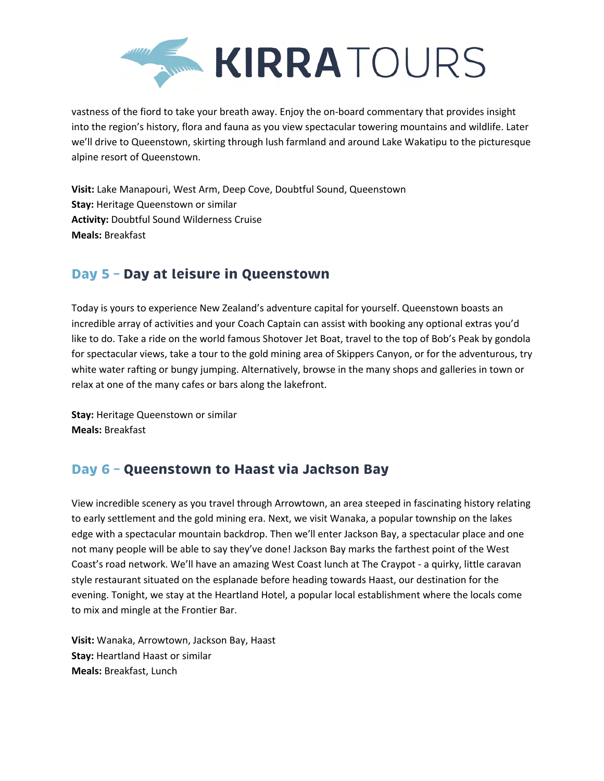

vastness of the fiord to take your breath away. Enjoy the on-board commentary that provides insight into the region's history, flora and fauna as you view spectacular towering mountains and wildlife. Later we'll drive to Queenstown, skirting through lush farmland and around Lake Wakatipu to the picturesque alpine resort of Queenstown.

**Visit:** Lake Manapouri, West Arm, Deep Cove, Doubtful Sound, Queenstown **Stay:** Heritage Queenstown or similar **Activity:** Doubtful Sound Wilderness Cruise **Meals:** Breakfast

### **Day 5 – Day at leisure in Queenstown**

Today is yours to experience New Zealand's adventure capital for yourself. Queenstown boasts an incredible array of activities and your Coach Captain can assist with booking any optional extras you'd like to do. Take a ride on the world famous Shotover Jet Boat, travel to the top of Bob's Peak by gondola for spectacular views, take a tour to the gold mining area of Skippers Canyon, or for the adventurous, try white water rafting or bungy jumping. Alternatively, browse in the many shops and galleries in town or relax at one of the many cafes or bars along the lakefront.

**Stay:** Heritage Queenstown or similar **Meals:** Breakfast

## **Day 6 – Queenstown to Haast via Jackson Bay**

View incredible scenery as you travel through Arrowtown, an area steeped in fascinating history relating to early settlement and the gold mining era. Next, we visit Wanaka, a popular township on the lakes edge with a spectacular mountain backdrop. Then we'll enter Jackson Bay, a spectacular place and one not many people will be able to say they've done! Jackson Bay marks the farthest point of the West Coast's road network. We'll have an amazing West Coast lunch at The Craypot - a quirky, little caravan style restaurant situated on the esplanade before heading towards Haast, our destination for the evening. Tonight, we stay at the Heartland Hotel, a popular local establishment where the locals come to mix and mingle at the Frontier Bar.

**Visit:** Wanaka, Arrowtown, Jackson Bay, Haast **Stay:** Heartland Haast or similar **Meals:** Breakfast, Lunch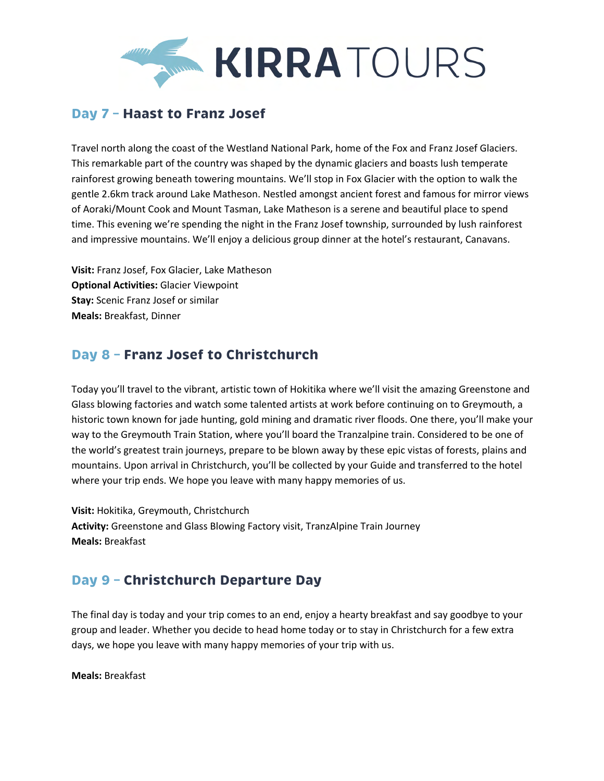

#### **Day 7 – Haast to Franz Josef**

Travel north along the coast of the Westland National Park, home of the Fox and Franz Josef Glaciers. This remarkable part of the country was shaped by the dynamic glaciers and boasts lush temperate rainforest growing beneath towering mountains. We'll stop in Fox Glacier with the option to walk the gentle 2.6km track around Lake Matheson. Nestled amongst ancient forest and famous for mirror views of Aoraki/Mount Cook and Mount Tasman, Lake Matheson is a serene and beautiful place to spend time. This evening we're spending the night in the Franz Josef township, surrounded by lush rainforest and impressive mountains. We'll enjoy a delicious group dinner at the hotel's restaurant, Canavans.

**Visit:** Franz Josef, Fox Glacier, Lake Matheson **Optional Activities:** Glacier Viewpoint **Stay:** Scenic Franz Josef or similar **Meals:** Breakfast, Dinner

## **Day 8 – Franz Josef to Christchurch**

Today you'll travel to the vibrant, artistic town of Hokitika where we'll visit the amazing Greenstone and Glass blowing factories and watch some talented artists at work before continuing on to Greymouth, a historic town known for jade hunting, gold mining and dramatic river floods. One there, you'll make your way to the Greymouth Train Station, where you'll board the Tranzalpine train. Considered to be one of the world's greatest train journeys, prepare to be blown away by these epic vistas of forests, plains and mountains. Upon arrival in Christchurch, you'll be collected by your Guide and transferred to the hotel where your trip ends. We hope you leave with many happy memories of us.

**Visit:** Hokitika, Greymouth, Christchurch **Activity:** Greenstone and Glass Blowing Factory visit, TranzAlpine Train Journey **Meals:** Breakfast

## **Day 9 – Christchurch Departure Day**

The final day is today and your trip comes to an end, enjoy a hearty breakfast and say goodbye to your group and leader. Whether you decide to head home today or to stay in Christchurch for a few extra days, we hope you leave with many happy memories of your trip with us.

**Meals:** Breakfast